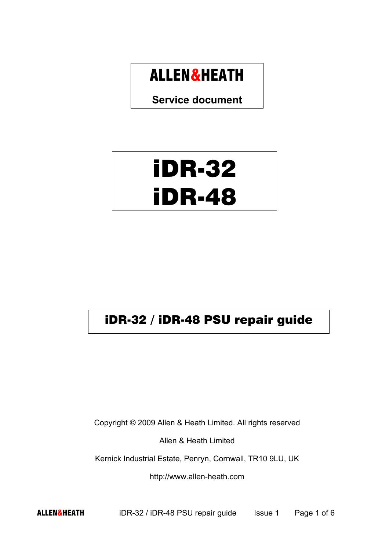## ALLEN&HEATH

**Service document** 

## iDR-32 iDR-48

## iDR-32 / iDR-48 PSU repair guide

Copyright © 2009 Allen & Heath Limited. All rights reserved

Allen & Heath Limited

Kernick Industrial Estate, Penryn, Cornwall, TR10 9LU, UK

http://www.allen-heath.com

ALLEN&HEATH iDR-32 / iDR-48 PSU repair guide Issue 1 Page 1 of 6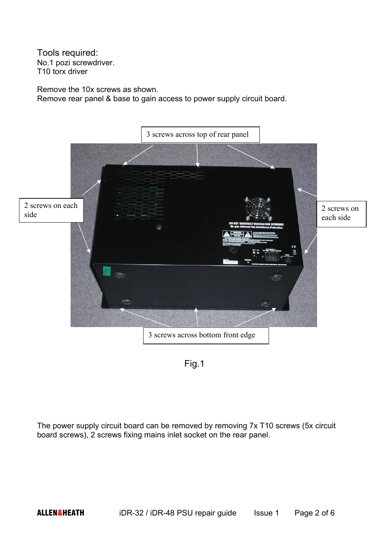Tools required: No.1 pozi screwdriver. T10 torx driver

Remove the 10x screws as shown. Remove rear panel & base to gain access to power supply circuit board.





The power supply circuit board can be removed by removing 7x T10 screws (5x circuit board screws), 2 screws fixing mains inlet socket on the rear panel.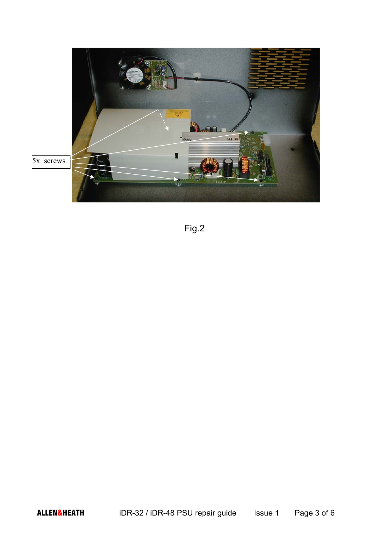

Fig.2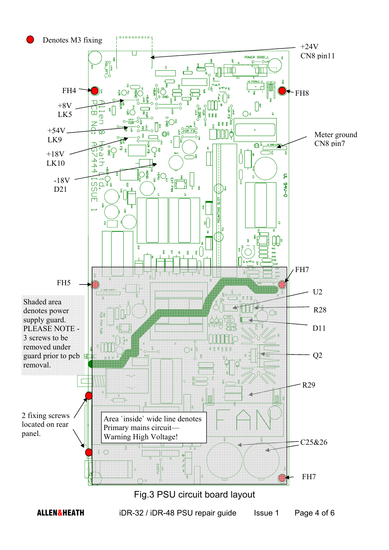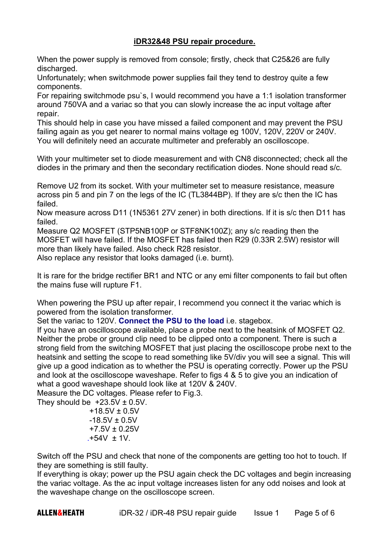## **iDR32&48 PSU repair procedure.**

When the power supply is removed from console; firstly, check that C25&26 are fully discharged.

Unfortunately; when switchmode power supplies fail they tend to destroy quite a few components.

For repairing switchmode psu`s, I would recommend you have a 1:1 isolation transformer around 750VA and a variac so that you can slowly increase the ac input voltage after repair.

This should help in case you have missed a failed component and may prevent the PSU failing again as you get nearer to normal mains voltage eg 100V, 120V, 220V or 240V. You will definitely need an accurate multimeter and preferably an oscilloscope.

With your multimeter set to diode measurement and with CN8 disconnected; check all the diodes in the primary and then the secondary rectification diodes. None should read s/c.

Remove U2 from its socket. With your multimeter set to measure resistance, measure across pin 5 and pin 7 on the legs of the IC (TL3844BP). If they are s/c then the IC has failed.

Now measure across D11 (1N5361 27V zener) in both directions. If it is s/c then D11 has failed.

Measure Q2 MOSFET (STP5NB100P or STF8NK100Z); any s/c reading then the MOSFET will have failed. If the MOSFET has failed then R29 (0.33R 2.5W) resistor will more than likely have failed. Also check R28 resistor.

Also replace any resistor that looks damaged (i.e. burnt).

It is rare for the bridge rectifier BR1 and NTC or any emi filter components to fail but often the mains fuse will rupture F1.

When powering the PSU up after repair, I recommend you connect it the variac which is powered from the isolation transformer.

Set the variac to 120V. **Connect the PSU to the load** i.e. stagebox.

If you have an oscilloscope available, place a probe next to the heatsink of MOSFET Q2. Neither the probe or ground clip need to be clipped onto a component. There is such a strong field from the switching MOSFET that just placing the oscilloscope probe next to the heatsink and setting the scope to read something like 5V/div you will see a signal. This will give up a good indication as to whether the PSU is operating correctly. Power up the PSU and look at the oscilloscope waveshape. Refer to figs 4 & 5 to give you an indication of what a good waveshape should look like at 120V & 240V.

Measure the DC voltages. Please refer to Fig.3.

They should be  $+23.5V \pm 0.5V$ .

 $+18.5V \pm 0.5V$  $-18.5V + 0.5V$  +7.5V ± 0.25V .+54V ± 1V.

Switch off the PSU and check that none of the components are getting too hot to touch. If they are something is still faulty.

If everything is okay; power up the PSU again check the DC voltages and begin increasing the variac voltage. As the ac input voltage increases listen for any odd noises and look at the waveshape change on the oscilloscope screen.